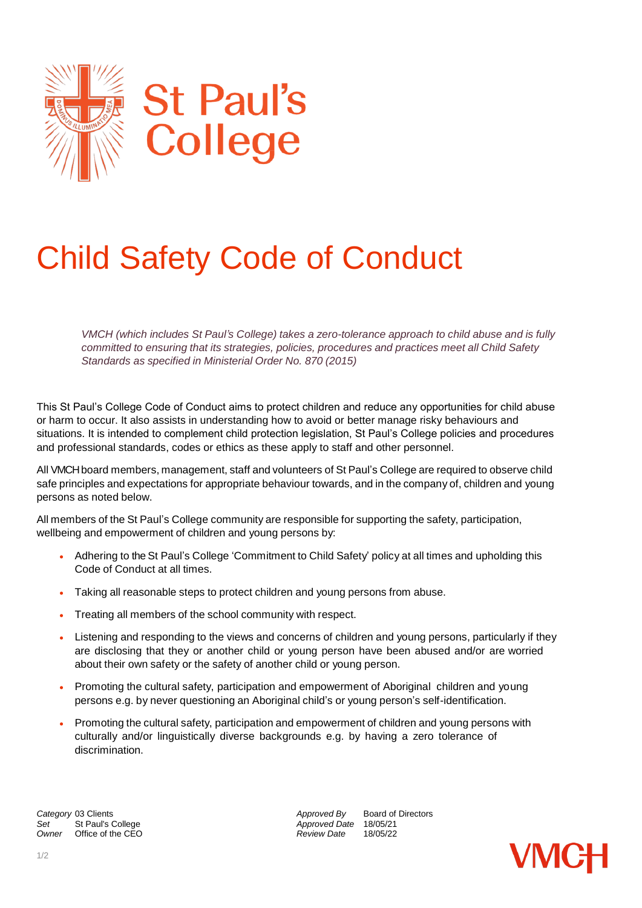

## Child Safety Code of Conduct

*VMCH (which includes St Paul's College) takes a zero-tolerance approach to child abuse and is fully committed to ensuring that its strategies, policies, procedures and practices meet all Child Safety Standards as specified in Ministerial Order No. 870 (2015)*

This St Paul's College Code of Conduct aims to protect children and reduce any opportunities for child abuse or harm to occur. It also assists in understanding how to avoid or better manage risky behaviours and situations. It is intended to complement child protection legislation, St Paul's College policies and procedures and professional standards, codes or ethics as these apply to staff and other personnel.

All VMCH board members, management, staff and volunteers of St Paul's College are required to observe child safe principles and expectations for appropriate behaviour towards, and in the company of, children and young persons as noted below.

All members of the St Paul's College community are responsible for supporting the safety, participation, wellbeing and empowerment of children and young persons by:

- Adhering to the St Paul's College 'Commitment to Child Safety' policy at all times and upholding this Code of Conduct at all times.
- Taking all reasonable steps to protect children and young persons from abuse.
- Treating all members of the school community with respect.
- Listening and responding to the views and concerns of children and young persons, particularly if they are disclosing that they or another child or young person have been abused and/or are worried about their own safety or the safety of another child or young person.
- Promoting the cultural safety, participation and empowerment of Aboriginal children and young persons e.g. by never questioning an Aboriginal child's or young person's self-identification.
- Promoting the cultural safety, participation and empowerment of children and young persons with culturally and/or linguistically diverse backgrounds e.g. by having a zero tolerance of discrimination.

**Category** 03 Clients **Approved By** Board of Directors *Approved By* Board of Directors<br> *Approved Date* 18/05/21 *Set* St Paul's College *Approved Date* 18/05/21 *Owner* Office of the CEO *Review Date* 18/05/22